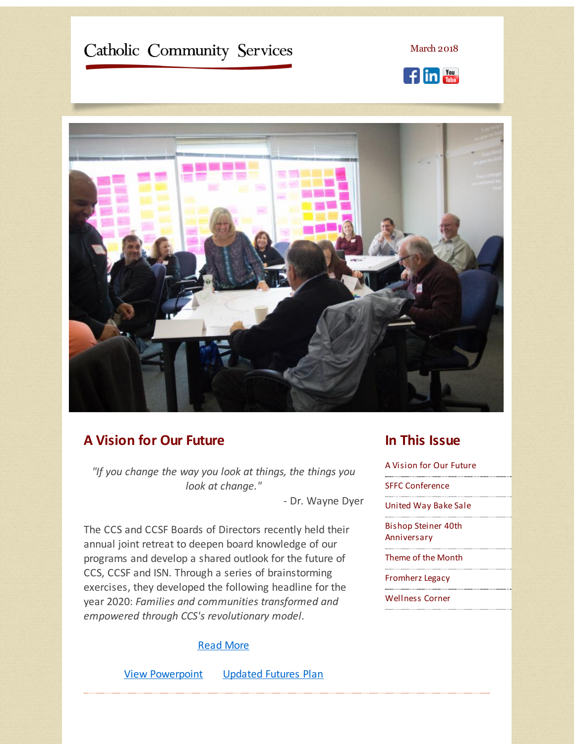# <span id="page-0-0"></span>Catholic Community Services

March 2018





#### **A Vision for Our Future**

*"If you change the way you look at things, the things you look at change."*

- Dr. Wayne Dyer

The CCS and CCSF Boards of Directors recently held their annual joint retreat to deepen board knowledge of our programs and develop a shared outlook for the future of CCS, CCSF and ISN. Through a series of brainstorming exercises, they developed the following headline for the year 2020: *Families and communities transformed and empowered through CCS's revolutionary model*.

#### Read [More](http://r20.rs6.net/tn.jsp?f=001zW7ZJejVdzoIzTi0ELvykNnJdT9frXCCXDSKzJuqtoi1kyZguwHNz5QQenUphmK9HVm9JJPJnui1DWYIzjHSQQivPjqoiZTMWTtTfK2J-gxFjvapb942fyy7sdw6RUupNj1Nw0ai_bmtIujno6e8KwsG8fJ8IsTQLwEQQyDOcZcN4v_Lc5kWxc8raepXd7C6N0jeze1YsZI=&c=&ch=)

View [Powerpoint](http://r20.rs6.net/tn.jsp?f=001zW7ZJejVdzoIzTi0ELvykNnJdT9frXCCXDSKzJuqtoi1kyZguwHNz5QQenUphmK9HOoIPEFMX11mdEW9EMq4HpOd4r-BV-io0akMdXmzLzK1vo6mTma9XPEDZap6EaQFz0efwiFuiOeL-O3owWFvMiR68L2kZuX8CGGD7BfzphPQbe7MShsve_0CBCPPEkoWYTNnMxre3VD_q0mREHMwQiDUMZAAGMeEq9WhoEoh1K9bxMcviBnidhkpCb-yV-5uAOlstVdSlYzFpQziDWrgIw==&c=&ch=) [Updated](http://r20.rs6.net/tn.jsp?f=001zW7ZJejVdzoIzTi0ELvykNnJdT9frXCCXDSKzJuqtoi1kyZguwHNz5QQenUphmK9fPbk9-c4PXK3sknLPX121mDEU-jmo5Ig2eqL9uHrWd3JVS0gzvkZlptSYX9fMf9K4iLxMasr7jTdAMTIXCPizW8YOXaU2S85HzPKutIkdcKCiuy3aT4bOt6FiGOtL_iW6xBfJvKa7sdpadffGVZW3QwUBRRdz0KSiAObx5F1bnm2lUDO4jZDoSYJb00xPYB-PWsrwjjXhto9DM4EAI_TFwuWtjBIbqXy&c=&ch=) Futures Plan

### **In This Issue**

A [Vision](#page-0-0) for Our Future

SFFC [Conference](#page-0-0)

[United](#page-0-0) Way Bake Sale

Bishop Steiner 40th [Anniversary](#page-0-0)

[Theme](#page-0-0) of the Month

[Fromherz](#page-0-0) Legacy

[Wellness](#page-0-0) Corner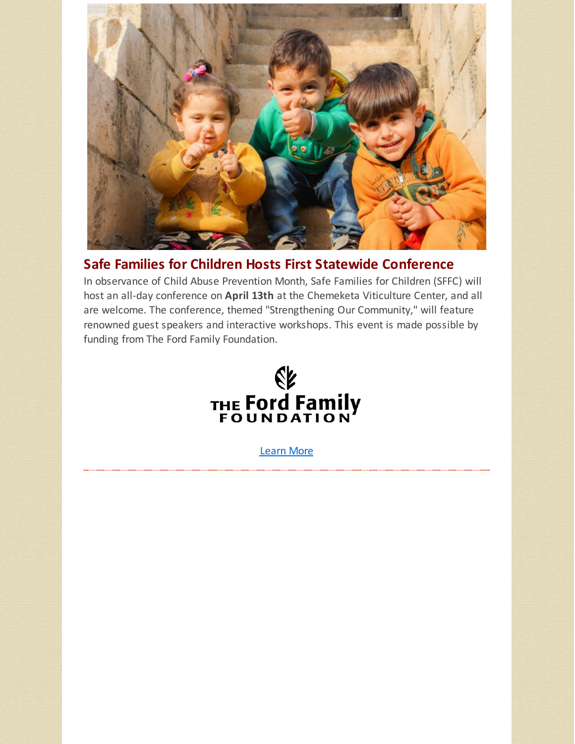

## **Safe Families for Children Hosts First Statewide Conference**

In observance of Child Abuse Prevention Month, Safe Families for Children (SFFC) will host an all-day conference on **April 13th** at the Chemeketa Viticulture Center, and all are welcome. The conference, themed "Strengthening Our Community," will feature renowned guest speakers and interactive workshops. This event is made possible by funding from The Ford Family Foundation.



[Learn](http://r20.rs6.net/tn.jsp?f=001zW7ZJejVdzoIzTi0ELvykNnJdT9frXCCXDSKzJuqtoi1kyZguwHNz5QQenUphmK96-_zKb4sKUXzMQQCvWLXzo1Fgbu_yOutK8k7OgV23B1ij0_gqqTtmEgZg7q0-f5X1wByVyR3BrnYCT2JDPuk7OTUc2a7tlhoYpf98Cur-sEPmQQR8iE02_0Ff9CifQEXrpWyRPTYQ7AQqUb4hMXPkrkccMSJQD6Ud-6fsthKodHVaaTIprTKNatMJU_kc3oR&c=&ch=) More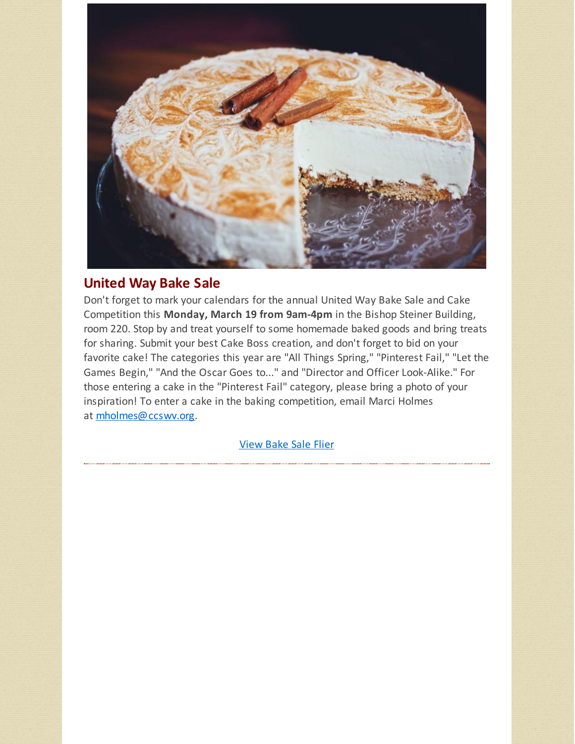

### **United Way Bake Sale**

Don't forget to mark your calendars for the annual United Way Bake Sale and Cake Competition this **Monday, March 19 from 9am-4pm** in the Bishop Steiner Building, room 220. Stop by and treat yourself to some homemade baked goods and bring treats for sharing. Submit your best Cake Boss creation, and don't forget to bid on your favorite cake! The categories this year are "All Things Spring," "Pinterest Fail," "Let the Games Begin," "And the Oscar Goes to..." and "Director and Officer Look-Alike." For those entering a cake in the "Pinterest Fail" category, please bring a photo of your inspiration! To enter a cake in the baking competition, email Marci Holmes at [mholmes@ccswv.org](mailto:mholmes@ccswv.org).

[View](http://r20.rs6.net/tn.jsp?f=001zW7ZJejVdzoIzTi0ELvykNnJdT9frXCCXDSKzJuqtoi1kyZguwHNz5QQenUphmK9-NjzQa521jnyVxxdUM4vUBQlivmK-66k6AuF-QgPQyOer-u2yjYv34pf9VmcT12r93H3-sB3AuJD2W6crCsTiDZCDPM67zKKs91MKKLHTHAhxMH0PxJpiVRnpLuYRmZ1QOPclXIcQVQglPKpQ9KmFDyKJ_tS4IXAAqfml1SPuc7uKS_-k9Ronw==&c=&ch=) Bake Sale Flier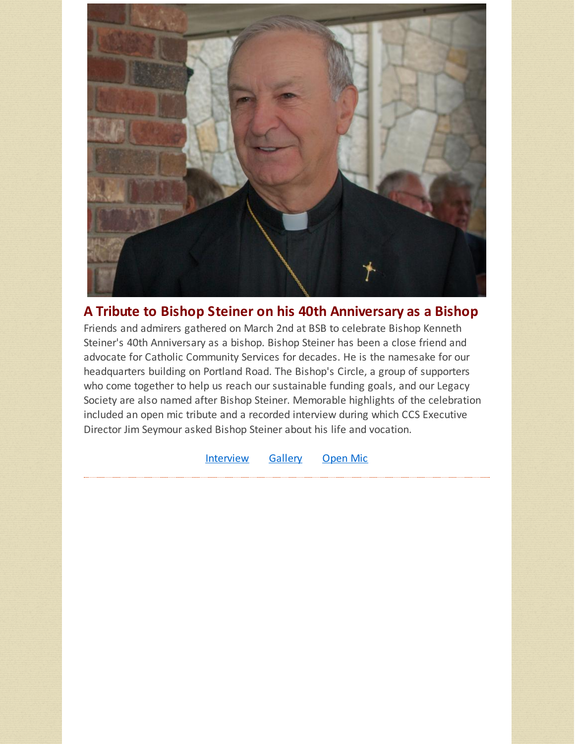

### **A Tribute to Bishop Steiner on his 40th Anniversary as a Bishop**

Friends and admirers gathered on March 2nd at BSB to celebrate Bishop Kenneth Steiner's 40th Anniversary as a bishop. Bishop Steiner has been a close friend and advocate for Catholic Community Services for decades. He is the namesake for our headquarters building on Portland Road. The Bishop's Circle, a group of supporters who come together to help us reach our sustainable funding goals, and our Legacy Society are also named after Bishop Steiner. Memorable highlights of the celebration included an open mic tribute and a recorded interview during which CCS Executive Director Jim Seymour asked Bishop Steiner about his life and vocation.

[Interview](http://r20.rs6.net/tn.jsp?f=001zW7ZJejVdzoIzTi0ELvykNnJdT9frXCCXDSKzJuqtoi1kyZguwHNz5QQenUphmK9P8HQhTTUp8uXwTKCQAJdEISyEsf6qLEk8luNm7o5-4XY6W5ieBVq4gIJSJWdlXYmbHYSok5JftYxqO7V_c-h7GnYxlfuLOCBRYYEfe-hMtITEgtGANX-Zw==&c=&ch=) [Gallery](http://r20.rs6.net/tn.jsp?f=001zW7ZJejVdzoIzTi0ELvykNnJdT9frXCCXDSKzJuqtoi1kyZguwHNz5QQenUphmK9XaSm5-N1-UI4fexBSBiJBmJBJOmw4w22pc1tjpGOAAeZ0wHVFfLH3oYUT4QasvsgX_hunNnaa9sC3TxxWaRoJiTt9AdFarSK9kDsNcMsllFe3FqEqrXfIlMYLuLcE7YDT_DFbJ16My8=&c=&ch=) [Open](http://r20.rs6.net/tn.jsp?f=001zW7ZJejVdzoIzTi0ELvykNnJdT9frXCCXDSKzJuqtoi1kyZguwHNz5QQenUphmK915G91GMBRmmAG9K9ilnXnD5v85KKr26Rgx3QYaWigj3_oWbtgJHZAXhl-9fkIbwKS1GsfefjJtyV09kFbGRrw16acZVrvfZKdtAyIYOTwbYa_W3IcSZkwA==&c=&ch=) Mic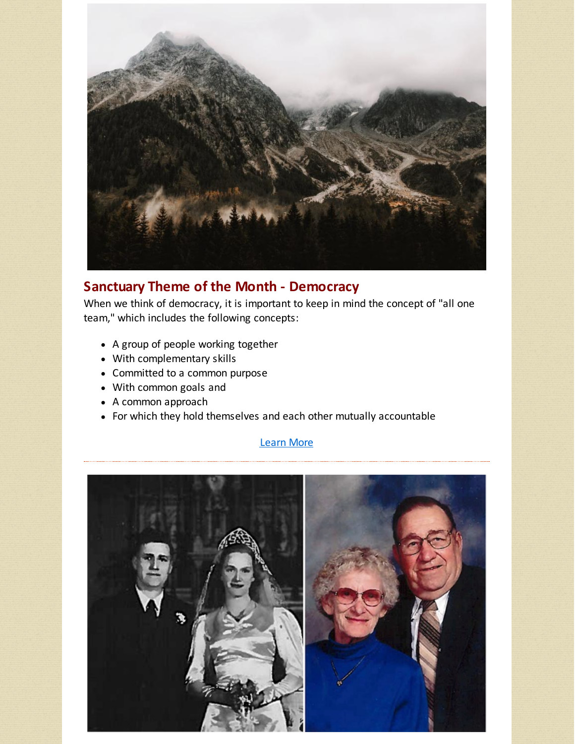

### **Sanctuary Theme of the Month - Democracy**

When we think of democracy, it is important to keep in mind the concept of "all one team," which includes the following concepts:

- A group of people working together
- With complementary skills
- Committed to a common purpose
- With common goals and
- A common approach
- For which they hold themselves and each other mutually accountable

#### [Learn](http://r20.rs6.net/tn.jsp?f=001zW7ZJejVdzoIzTi0ELvykNnJdT9frXCCXDSKzJuqtoi1kyZguwHNz5QQenUphmK9y-kkMKpM6NZshPCDZPcZ3TimwDEuw4tfi-7MzeOSzZoEsWB1APinUE1aPsHifT4EEo6BJPdxMGIeyIuNHWiTPqWfxS1STIzJlG_-ztkDfzfN6_sIMzTbFWAD9aeEx-NTn6R_FnDFOcc=&c=&ch=) More